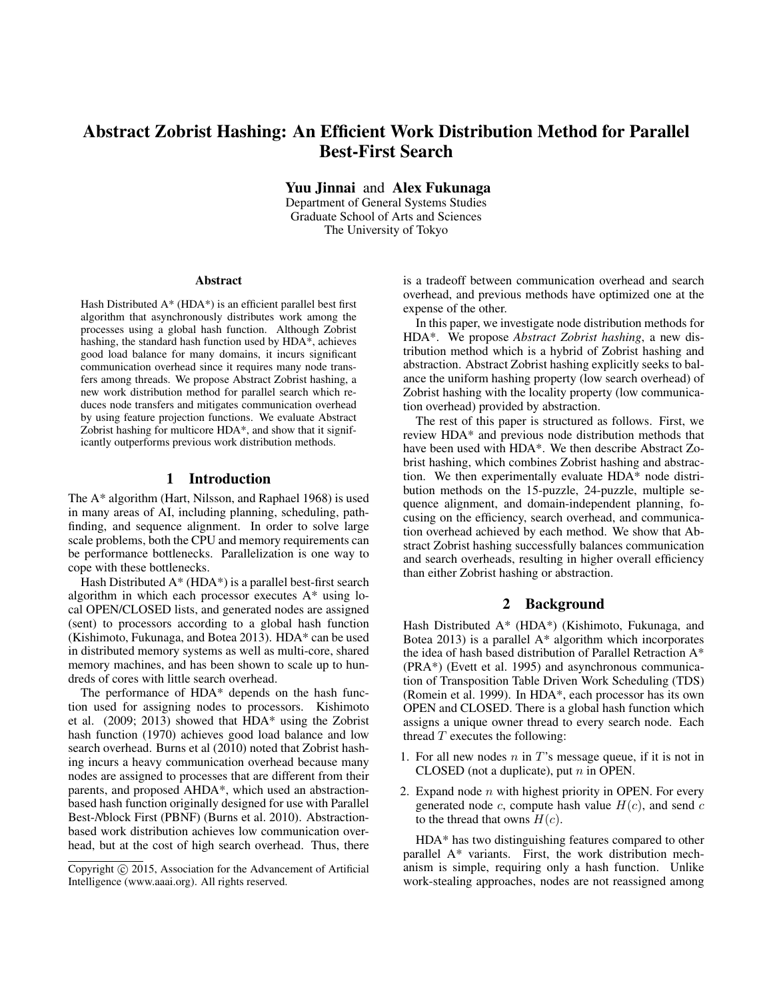# Abstract Zobrist Hashing: An Efficient Work Distribution Method for Parallel Best-First Search

Yuu Jinnai and Alex Fukunaga

Department of General Systems Studies Graduate School of Arts and Sciences The University of Tokyo

#### Abstract

Hash Distributed A\* (HDA\*) is an efficient parallel best first algorithm that asynchronously distributes work among the processes using a global hash function. Although Zobrist hashing, the standard hash function used by HDA\*, achieves good load balance for many domains, it incurs significant communication overhead since it requires many node transfers among threads. We propose Abstract Zobrist hashing, a new work distribution method for parallel search which reduces node transfers and mitigates communication overhead by using feature projection functions. We evaluate Abstract Zobrist hashing for multicore HDA\*, and show that it significantly outperforms previous work distribution methods.

# 1 Introduction

The A\* algorithm (Hart, Nilsson, and Raphael 1968) is used in many areas of AI, including planning, scheduling, pathfinding, and sequence alignment. In order to solve large scale problems, both the CPU and memory requirements can be performance bottlenecks. Parallelization is one way to cope with these bottlenecks.

Hash Distributed  $A^*$  (HDA\*) is a parallel best-first search algorithm in which each processor executes A\* using local OPEN/CLOSED lists, and generated nodes are assigned (sent) to processors according to a global hash function (Kishimoto, Fukunaga, and Botea 2013). HDA\* can be used in distributed memory systems as well as multi-core, shared memory machines, and has been shown to scale up to hundreds of cores with little search overhead.

The performance of HDA\* depends on the hash function used for assigning nodes to processors. Kishimoto et al. (2009; 2013) showed that HDA\* using the Zobrist hash function (1970) achieves good load balance and low search overhead. Burns et al (2010) noted that Zobrist hashing incurs a heavy communication overhead because many nodes are assigned to processes that are different from their parents, and proposed AHDA\*, which used an abstractionbased hash function originally designed for use with Parallel Best-*N*block First (PBNF) (Burns et al. 2010). Abstractionbased work distribution achieves low communication overhead, but at the cost of high search overhead. Thus, there

is a tradeoff between communication overhead and search overhead, and previous methods have optimized one at the expense of the other.

In this paper, we investigate node distribution methods for HDA\*. We propose *Abstract Zobrist hashing*, a new distribution method which is a hybrid of Zobrist hashing and abstraction. Abstract Zobrist hashing explicitly seeks to balance the uniform hashing property (low search overhead) of Zobrist hashing with the locality property (low communication overhead) provided by abstraction.

The rest of this paper is structured as follows. First, we review HDA\* and previous node distribution methods that have been used with HDA\*. We then describe Abstract Zobrist hashing, which combines Zobrist hashing and abstraction. We then experimentally evaluate HDA\* node distribution methods on the 15-puzzle, 24-puzzle, multiple sequence alignment, and domain-independent planning, focusing on the efficiency, search overhead, and communication overhead achieved by each method. We show that Abstract Zobrist hashing successfully balances communication and search overheads, resulting in higher overall efficiency than either Zobrist hashing or abstraction.

# 2 Background

Hash Distributed A\* (HDA\*) (Kishimoto, Fukunaga, and Botea 2013) is a parallel  $A^*$  algorithm which incorporates the idea of hash based distribution of Parallel Retraction A\* (PRA\*) (Evett et al. 1995) and asynchronous communication of Transposition Table Driven Work Scheduling (TDS) (Romein et al. 1999). In HDA\*, each processor has its own OPEN and CLOSED. There is a global hash function which assigns a unique owner thread to every search node. Each thread  $T$  executes the following:

- 1. For all new nodes  $n$  in  $T$ 's message queue, if it is not in CLOSED (not a duplicate), put  $n$  in OPEN.
- 2. Expand node  $n$  with highest priority in OPEN. For every generated node c, compute hash value  $H(c)$ , and send c to the thread that owns  $H(c)$ .

HDA\* has two distinguishing features compared to other parallel A\* variants. First, the work distribution mechanism is simple, requiring only a hash function. Unlike work-stealing approaches, nodes are not reassigned among

Copyright  $\odot$  2015, Association for the Advancement of Artificial Intelligence (www.aaai.org). All rights reserved.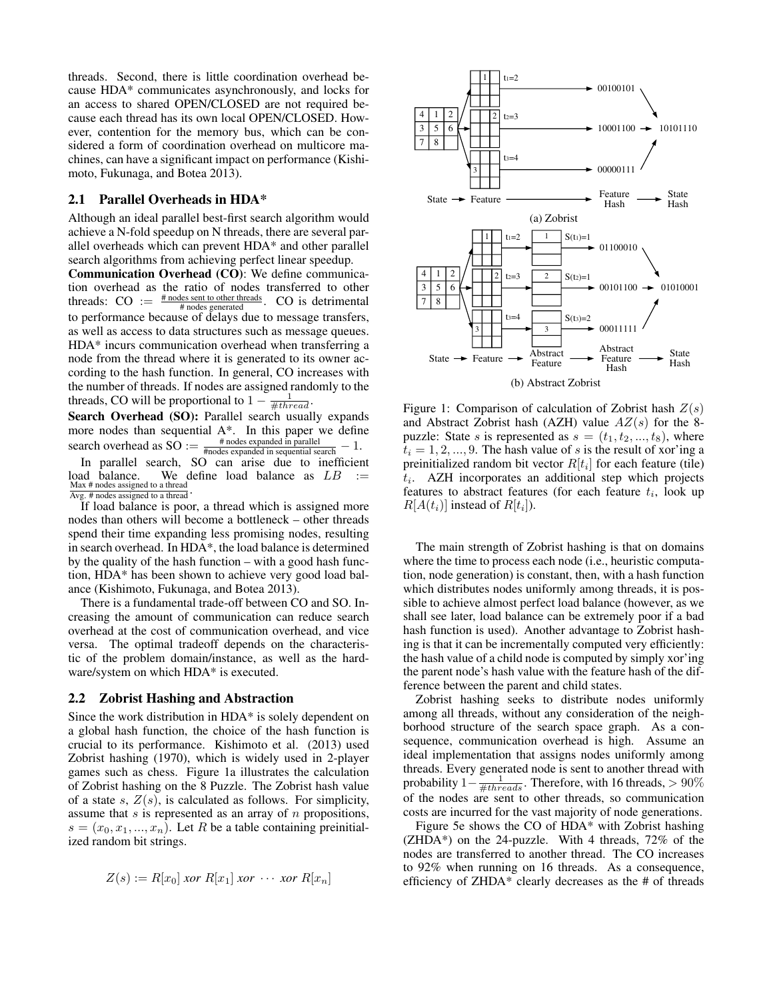threads. Second, there is little coordination overhead because HDA\* communicates asynchronously, and locks for an access to shared OPEN/CLOSED are not required because each thread has its own local OPEN/CLOSED. However, contention for the memory bus, which can be considered a form of coordination overhead on multicore machines, can have a significant impact on performance (Kishimoto, Fukunaga, and Botea 2013).

## 2.1 Parallel Overheads in HDA\*

Although an ideal parallel best-first search algorithm would achieve a N-fold speedup on N threads, there are several parallel overheads which can prevent HDA\* and other parallel search algorithms from achieving perfect linear speedup.

Communication Overhead (CO): We define communication overhead as the ratio of nodes transferred to other threads:  $CO := \frac{\text{\# nodes sent to other threads}}{\text{\# nodes generated}}$ .  $CO$  is detrimental to performance because of delays due to message transfers, as well as access to data structures such as message queues. HDA\* incurs communication overhead when transferring a node from the thread where it is generated to its owner according to the hash function. In general, CO increases with the number of threads. If nodes are assigned randomly to the threads, CO will be proportional to  $1 - \frac{1}{\# thread}$ .

Search Overhead (SO): Parallel search usually expands more nodes than sequential A\*. In this paper we define search overhead as  $SO := \frac{\text{\# nodes expanded in parallel}}{\text{\# nodes expanded in sequential search}} - 1$ .

In parallel search, SO can arise due to inefficient load balance. We define load balance as  $LB :=$ Max # nodes assigned to a thread Avg. # nodes assigned to a thread .

If load balance is poor, a thread which is assigned more nodes than others will become a bottleneck – other threads spend their time expanding less promising nodes, resulting in search overhead. In HDA\*, the load balance is determined by the quality of the hash function – with a good hash function, HDA\* has been shown to achieve very good load balance (Kishimoto, Fukunaga, and Botea 2013).

There is a fundamental trade-off between CO and SO. Increasing the amount of communication can reduce search overhead at the cost of communication overhead, and vice versa. The optimal tradeoff depends on the characteristic of the problem domain/instance, as well as the hardware/system on which HDA\* is executed.

#### 2.2 Zobrist Hashing and Abstraction

Since the work distribution in HDA\* is solely dependent on a global hash function, the choice of the hash function is crucial to its performance. Kishimoto et al. (2013) used Zobrist hashing (1970), which is widely used in 2-player games such as chess. Figure 1a illustrates the calculation of Zobrist hashing on the 8 Puzzle. The Zobrist hash value of a state s,  $Z(s)$ , is calculated as follows. For simplicity, assume that  $s$  is represented as an array of  $n$  propositions,  $s = (x_0, x_1, ..., x_n)$ . Let R be a table containing preinitialized random bit strings.

$$
Z(s) := R[x_0] \text{ for } R[x_1] \text{ for } \cdots \text{ for } R[x_n]
$$



Figure 1: Comparison of calculation of Zobrist hash  $Z(s)$ and Abstract Zobrist hash (AZH) value  $AZ(s)$  for the 8puzzle: State s is represented as  $s = (t_1, t_2, ..., t_8)$ , where  $t_i = 1, 2, ..., 9$ . The hash value of s is the result of xor'ing a preinitialized random bit vector  $R[t_i]$  for each feature (tile)  $t_i$ . AZH incorporates an additional step which projects features to abstract features (for each feature  $t_i$ , look up  $R[A(t_i)]$  instead of  $R[t_i]$ ).

The main strength of Zobrist hashing is that on domains where the time to process each node (i.e., heuristic computation, node generation) is constant, then, with a hash function which distributes nodes uniformly among threads, it is possible to achieve almost perfect load balance (however, as we shall see later, load balance can be extremely poor if a bad hash function is used). Another advantage to Zobrist hashing is that it can be incrementally computed very efficiently: the hash value of a child node is computed by simply xor'ing the parent node's hash value with the feature hash of the difference between the parent and child states.

Zobrist hashing seeks to distribute nodes uniformly among all threads, without any consideration of the neighborhood structure of the search space graph. As a consequence, communication overhead is high. Assume an ideal implementation that assigns nodes uniformly among threads. Every generated node is sent to another thread with probability  $1-\frac{1}{\#threads}$ . Therefore, with 16 threads, > 90% of the nodes are sent to other threads, so communication costs are incurred for the vast majority of node generations.

Figure 5e shows the CO of HDA\* with Zobrist hashing (ZHDA\*) on the 24-puzzle. With 4 threads, 72% of the nodes are transferred to another thread. The CO increases to 92% when running on 16 threads. As a consequence, efficiency of ZHDA\* clearly decreases as the # of threads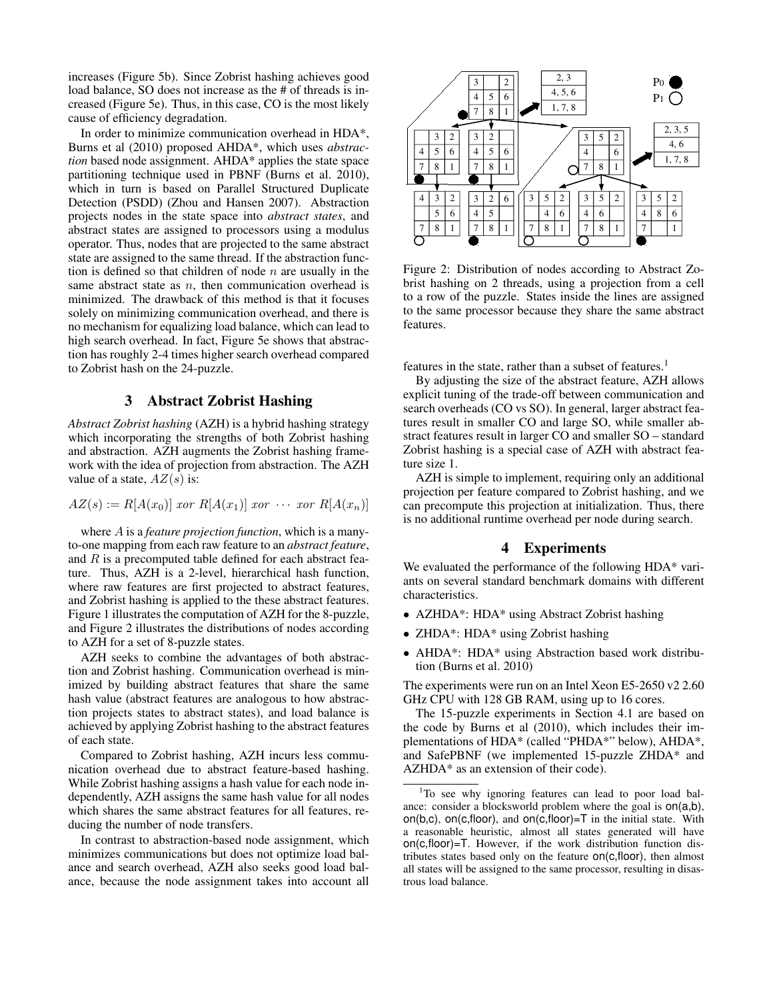increases (Figure 5b). Since Zobrist hashing achieves good load balance, SO does not increase as the # of threads is increased (Figure 5e). Thus, in this case, CO is the most likely cause of efficiency degradation.

In order to minimize communication overhead in HDA\*, Burns et al (2010) proposed AHDA\*, which uses *abstraction* based node assignment. AHDA\* applies the state space partitioning technique used in PBNF (Burns et al. 2010), which in turn is based on Parallel Structured Duplicate Detection (PSDD) (Zhou and Hansen 2007). Abstraction projects nodes in the state space into *abstract states*, and abstract states are assigned to processors using a modulus operator. Thus, nodes that are projected to the same abstract state are assigned to the same thread. If the abstraction function is defined so that children of node  $n$  are usually in the same abstract state as  $n$ , then communication overhead is minimized. The drawback of this method is that it focuses solely on minimizing communication overhead, and there is no mechanism for equalizing load balance, which can lead to high search overhead. In fact, Figure 5e shows that abstraction has roughly 2-4 times higher search overhead compared to Zobrist hash on the 24-puzzle.

# 3 Abstract Zobrist Hashing

*Abstract Zobrist hashing* (AZH) is a hybrid hashing strategy which incorporating the strengths of both Zobrist hashing and abstraction. AZH augments the Zobrist hashing framework with the idea of projection from abstraction. The AZH value of a state,  $AZ(s)$  is:

$$
AZ(s) := R[A(x_0)] \text{ for } R[A(x_1)] \text{ for } \cdots \text{ for } R[A(x_n)]
$$

where A is a *feature projection function*, which is a manyto-one mapping from each raw feature to an *abstract feature*, and  $R$  is a precomputed table defined for each abstract feature. Thus, AZH is a 2-level, hierarchical hash function, where raw features are first projected to abstract features, and Zobrist hashing is applied to the these abstract features. Figure 1 illustrates the computation of AZH for the 8-puzzle, and Figure 2 illustrates the distributions of nodes according to AZH for a set of 8-puzzle states.

AZH seeks to combine the advantages of both abstraction and Zobrist hashing. Communication overhead is minimized by building abstract features that share the same hash value (abstract features are analogous to how abstraction projects states to abstract states), and load balance is achieved by applying Zobrist hashing to the abstract features of each state.

Compared to Zobrist hashing, AZH incurs less communication overhead due to abstract feature-based hashing. While Zobrist hashing assigns a hash value for each node independently, AZH assigns the same hash value for all nodes which shares the same abstract features for all features, reducing the number of node transfers.

In contrast to abstraction-based node assignment, which minimizes communications but does not optimize load balance and search overhead, AZH also seeks good load balance, because the node assignment takes into account all



Figure 2: Distribution of nodes according to Abstract Zobrist hashing on 2 threads, using a projection from a cell to a row of the puzzle. States inside the lines are assigned to the same processor because they share the same abstract features.

features in the state, rather than a subset of features.<sup>1</sup>

By adjusting the size of the abstract feature, AZH allows explicit tuning of the trade-off between communication and search overheads (CO vs SO). In general, larger abstract features result in smaller CO and large SO, while smaller abstract features result in larger CO and smaller SO – standard Zobrist hashing is a special case of AZH with abstract feature size 1.

AZH is simple to implement, requiring only an additional projection per feature compared to Zobrist hashing, and we can precompute this projection at initialization. Thus, there is no additional runtime overhead per node during search.

# 4 Experiments

We evaluated the performance of the following HDA\* variants on several standard benchmark domains with different characteristics.

- AZHDA\*: HDA\* using Abstract Zobrist hashing
- ZHDA\*: HDA\* using Zobrist hashing
- AHDA\*: HDA\* using Abstraction based work distribution (Burns et al. 2010)

The experiments were run on an Intel Xeon E5-2650 v2 2.60 GHz CPU with 128 GB RAM, using up to 16 cores.

The 15-puzzle experiments in Section 4.1 are based on the code by Burns et al (2010), which includes their implementations of HDA\* (called "PHDA\*" below), AHDA\*, and SafePBNF (we implemented 15-puzzle ZHDA\* and AZHDA\* as an extension of their code).

<sup>&</sup>lt;sup>1</sup>To see why ignoring features can lead to poor load balance: consider a blocksworld problem where the goal is on(a,b), on(b,c), on(c,floor), and on(c,floor)= $T$  in the initial state. With a reasonable heuristic, almost all states generated will have on(c,floor)=T. However, if the work distribution function distributes states based only on the feature on(c,floor), then almost all states will be assigned to the same processor, resulting in disastrous load balance.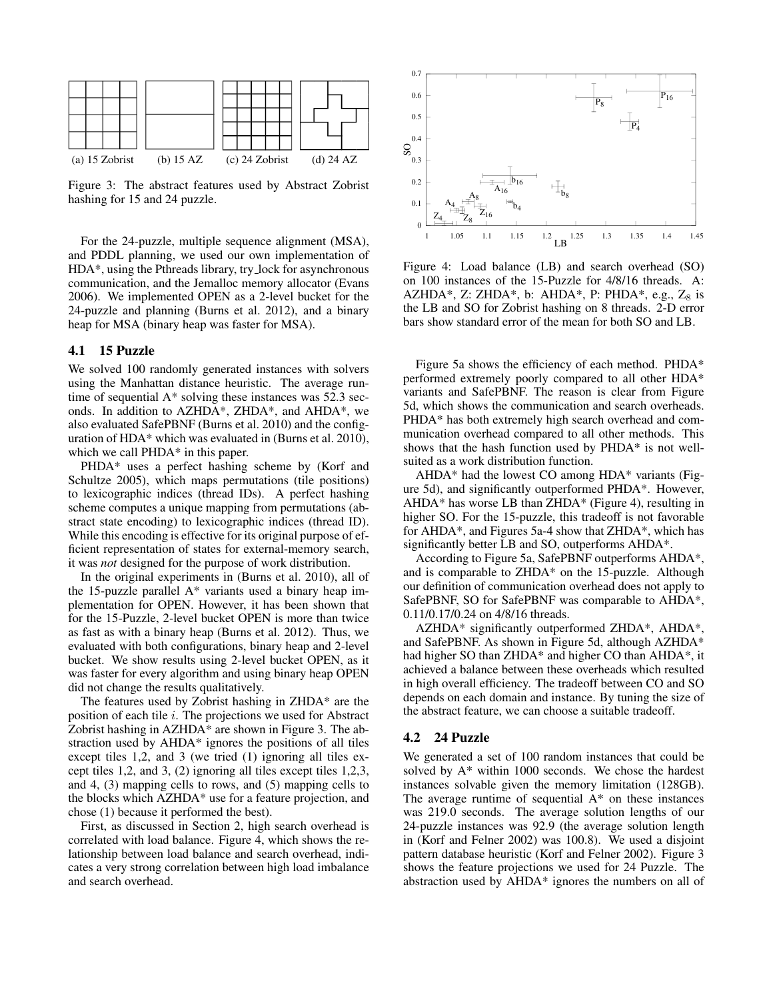

Figure 3: The abstract features used by Abstract Zobrist hashing for 15 and 24 puzzle.

For the 24-puzzle, multiple sequence alignment (MSA), and PDDL planning, we used our own implementation of HDA\*, using the Pthreads library, try lock for asynchronous communication, and the Jemalloc memory allocator (Evans 2006). We implemented OPEN as a 2-level bucket for the 24-puzzle and planning (Burns et al. 2012), and a binary heap for MSA (binary heap was faster for MSA).

## 4.1 15 Puzzle

We solved 100 randomly generated instances with solvers using the Manhattan distance heuristic. The average runtime of sequential A\* solving these instances was 52.3 seconds. In addition to AZHDA\*, ZHDA\*, and AHDA\*, we also evaluated SafePBNF (Burns et al. 2010) and the configuration of HDA\* which was evaluated in (Burns et al. 2010), which we call PHDA<sup>\*</sup> in this paper.

PHDA\* uses a perfect hashing scheme by (Korf and Schultze 2005), which maps permutations (tile positions) to lexicographic indices (thread IDs). A perfect hashing scheme computes a unique mapping from permutations (abstract state encoding) to lexicographic indices (thread ID). While this encoding is effective for its original purpose of efficient representation of states for external-memory search, it was *not* designed for the purpose of work distribution.

In the original experiments in (Burns et al. 2010), all of the 15-puzzle parallel A\* variants used a binary heap implementation for OPEN. However, it has been shown that for the 15-Puzzle, 2-level bucket OPEN is more than twice as fast as with a binary heap (Burns et al. 2012). Thus, we evaluated with both configurations, binary heap and 2-level bucket. We show results using 2-level bucket OPEN, as it was faster for every algorithm and using binary heap OPEN did not change the results qualitatively.

The features used by Zobrist hashing in ZHDA\* are the position of each tile i. The projections we used for Abstract Zobrist hashing in AZHDA\* are shown in Figure 3. The abstraction used by AHDA\* ignores the positions of all tiles except tiles 1,2, and 3 (we tried (1) ignoring all tiles except tiles 1,2, and 3, (2) ignoring all tiles except tiles 1,2,3, and 4, (3) mapping cells to rows, and (5) mapping cells to the blocks which AZHDA\* use for a feature projection, and chose (1) because it performed the best).

First, as discussed in Section 2, high search overhead is correlated with load balance. Figure 4, which shows the relationship between load balance and search overhead, indicates a very strong correlation between high load imbalance and search overhead.



Figure 4: Load balance (LB) and search overhead (SO) on 100 instances of the 15-Puzzle for 4/8/16 threads. A: AZHDA\*, Z: ZHDA\*, b: AHDA\*, P: PHDA\*, e.g.,  $Z_8$  is the LB and SO for Zobrist hashing on 8 threads. 2-D error bars show standard error of the mean for both SO and LB.

Figure 5a shows the efficiency of each method. PHDA\* performed extremely poorly compared to all other HDA\* variants and SafePBNF. The reason is clear from Figure 5d, which shows the communication and search overheads. PHDA\* has both extremely high search overhead and communication overhead compared to all other methods. This shows that the hash function used by PHDA\* is not wellsuited as a work distribution function.

AHDA\* had the lowest CO among HDA\* variants (Figure 5d), and significantly outperformed PHDA\*. However, AHDA\* has worse LB than ZHDA\* (Figure 4), resulting in higher SO. For the 15-puzzle, this tradeoff is not favorable for AHDA\*, and Figures 5a-4 show that ZHDA\*, which has significantly better LB and SO, outperforms AHDA\*.

According to Figure 5a, SafePBNF outperforms AHDA\*, and is comparable to ZHDA\* on the 15-puzzle. Although our definition of communication overhead does not apply to SafePBNF, SO for SafePBNF was comparable to AHDA\*, 0.11/0.17/0.24 on 4/8/16 threads.

AZHDA\* significantly outperformed ZHDA\*, AHDA\*, and SafePBNF. As shown in Figure 5d, although AZHDA\* had higher SO than ZHDA\* and higher CO than AHDA\*, it achieved a balance between these overheads which resulted in high overall efficiency. The tradeoff between CO and SO depends on each domain and instance. By tuning the size of the abstract feature, we can choose a suitable tradeoff.

# 4.2 24 Puzzle

We generated a set of 100 random instances that could be solved by A\* within 1000 seconds. We chose the hardest instances solvable given the memory limitation (128GB). The average runtime of sequential  $A^*$  on these instances was 219.0 seconds. The average solution lengths of our 24-puzzle instances was 92.9 (the average solution length in (Korf and Felner 2002) was 100.8). We used a disjoint pattern database heuristic (Korf and Felner 2002). Figure 3 shows the feature projections we used for 24 Puzzle. The abstraction used by AHDA\* ignores the numbers on all of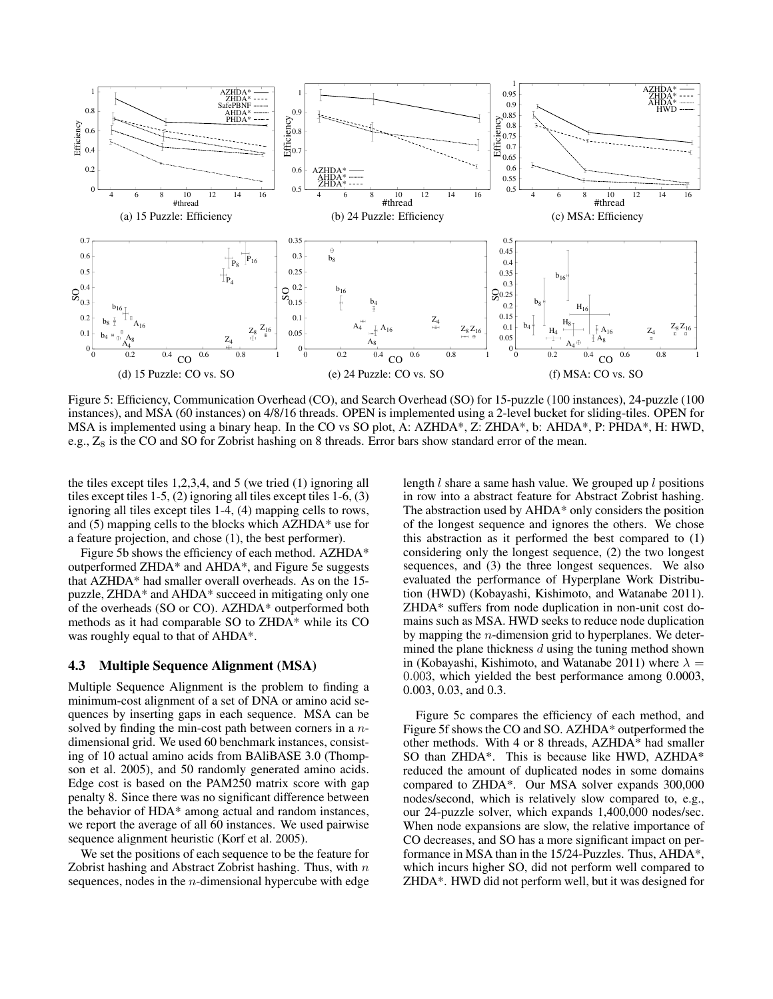

Figure 5: Efficiency, Communication Overhead (CO), and Search Overhead (SO) for 15-puzzle (100 instances), 24-puzzle (100 instances), and MSA (60 instances) on 4/8/16 threads. OPEN is implemented using a 2-level bucket for sliding-tiles. OPEN for MSA is implemented using a binary heap. In the CO vs SO plot, A: AZHDA\*, Z: ZHDA\*, b: AHDA\*, P: PHDA\*, H: HWD, e.g.,  $Z_8$  is the CO and SO for Zobrist hashing on 8 threads. Error bars show standard error of the mean.

the tiles except tiles 1,2,3,4, and 5 (we tried (1) ignoring all tiles except tiles 1-5, (2) ignoring all tiles except tiles 1-6, (3) ignoring all tiles except tiles 1-4, (4) mapping cells to rows, and (5) mapping cells to the blocks which AZHDA\* use for a feature projection, and chose (1), the best performer).

Figure 5b shows the efficiency of each method. AZHDA\* outperformed ZHDA\* and AHDA\*, and Figure 5e suggests that AZHDA\* had smaller overall overheads. As on the 15 puzzle, ZHDA\* and AHDA\* succeed in mitigating only one of the overheads (SO or CO). AZHDA\* outperformed both methods as it had comparable SO to ZHDA\* while its CO was roughly equal to that of AHDA\*.

# 4.3 Multiple Sequence Alignment (MSA)

Multiple Sequence Alignment is the problem to finding a minimum-cost alignment of a set of DNA or amino acid sequences by inserting gaps in each sequence. MSA can be solved by finding the min-cost path between corners in a ndimensional grid. We used 60 benchmark instances, consisting of 10 actual amino acids from BAliBASE 3.0 (Thompson et al. 2005), and 50 randomly generated amino acids. Edge cost is based on the PAM250 matrix score with gap penalty 8. Since there was no significant difference between the behavior of HDA\* among actual and random instances, we report the average of all 60 instances. We used pairwise sequence alignment heuristic (Korf et al. 2005).

We set the positions of each sequence to be the feature for Zobrist hashing and Abstract Zobrist hashing. Thus, with  $n$ sequences, nodes in the *n*-dimensional hypercube with edge

length  $l$  share a same hash value. We grouped up  $l$  positions in row into a abstract feature for Abstract Zobrist hashing. The abstraction used by AHDA\* only considers the position of the longest sequence and ignores the others. We chose this abstraction as it performed the best compared to (1) considering only the longest sequence, (2) the two longest sequences, and (3) the three longest sequences. We also evaluated the performance of Hyperplane Work Distribution (HWD) (Kobayashi, Kishimoto, and Watanabe 2011). ZHDA\* suffers from node duplication in non-unit cost domains such as MSA. HWD seeks to reduce node duplication by mapping the  $n$ -dimension grid to hyperplanes. We determined the plane thickness  $d$  using the tuning method shown in (Kobayashi, Kishimoto, and Watanabe 2011) where  $\lambda =$ 0.003, which yielded the best performance among 0.0003, 0.003, 0.03, and 0.3.

Figure 5c compares the efficiency of each method, and Figure 5f shows the CO and SO. AZHDA\* outperformed the other methods. With 4 or 8 threads, AZHDA\* had smaller SO than ZHDA\*. This is because like HWD, AZHDA\* reduced the amount of duplicated nodes in some domains compared to ZHDA\*. Our MSA solver expands 300,000 nodes/second, which is relatively slow compared to, e.g., our 24-puzzle solver, which expands 1,400,000 nodes/sec. When node expansions are slow, the relative importance of CO decreases, and SO has a more significant impact on performance in MSA than in the 15/24-Puzzles. Thus, AHDA\*, which incurs higher SO, did not perform well compared to ZHDA\*. HWD did not perform well, but it was designed for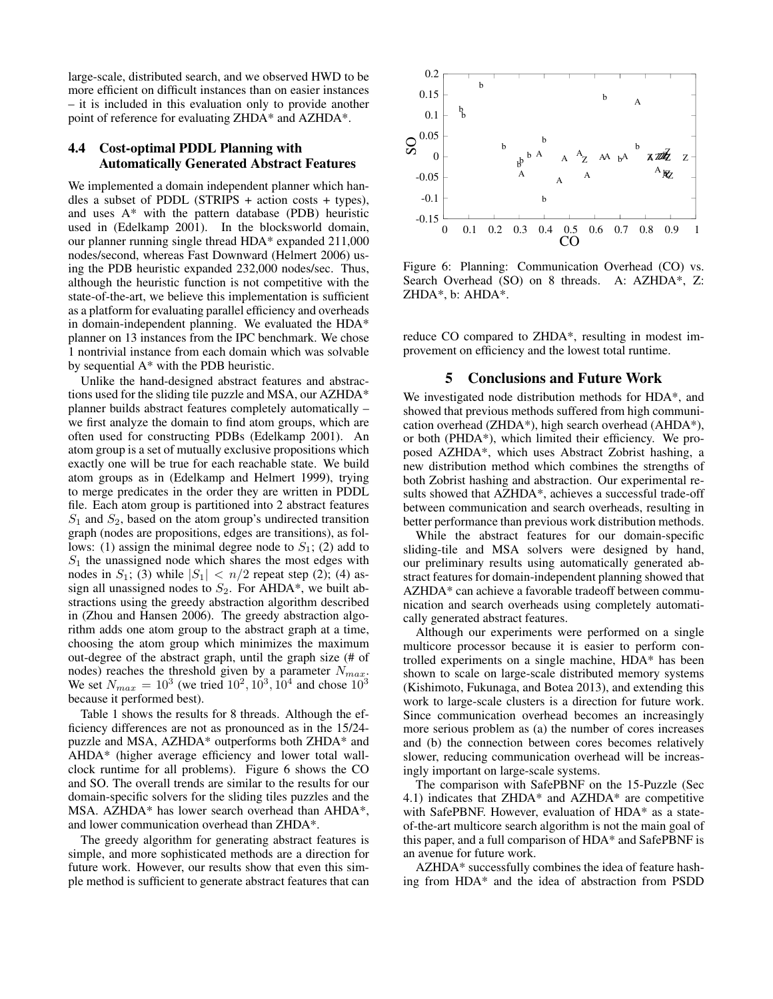large-scale, distributed search, and we observed HWD to be more efficient on difficult instances than on easier instances – it is included in this evaluation only to provide another point of reference for evaluating ZHDA\* and AZHDA\*.

# 4.4 Cost-optimal PDDL Planning with Automatically Generated Abstract Features

We implemented a domain independent planner which handles a subset of PDDL (STRIPS + action costs + types), and uses  $A^*$  with the pattern database (PDB) heuristic used in (Edelkamp 2001). In the blocksworld domain, our planner running single thread HDA\* expanded 211,000 nodes/second, whereas Fast Downward (Helmert 2006) using the PDB heuristic expanded 232,000 nodes/sec. Thus, although the heuristic function is not competitive with the state-of-the-art, we believe this implementation is sufficient as a platform for evaluating parallel efficiency and overheads in domain-independent planning. We evaluated the HDA\* planner on 13 instances from the IPC benchmark. We chose 1 nontrivial instance from each domain which was solvable by sequential A\* with the PDB heuristic.

Unlike the hand-designed abstract features and abstractions used for the sliding tile puzzle and MSA, our AZHDA\* planner builds abstract features completely automatically – we first analyze the domain to find atom groups, which are often used for constructing PDBs (Edelkamp 2001). An atom group is a set of mutually exclusive propositions which exactly one will be true for each reachable state. We build atom groups as in (Edelkamp and Helmert 1999), trying to merge predicates in the order they are written in PDDL file. Each atom group is partitioned into 2 abstract features  $S_1$  and  $S_2$ , based on the atom group's undirected transition graph (nodes are propositions, edges are transitions), as follows: (1) assign the minimal degree node to  $S_1$ ; (2) add to  $S_1$  the unassigned node which shares the most edges with nodes in  $S_1$ ; (3) while  $|S_1| < n/2$  repeat step (2); (4) assign all unassigned nodes to  $S_2$ . For AHDA\*, we built abstractions using the greedy abstraction algorithm described in (Zhou and Hansen 2006). The greedy abstraction algorithm adds one atom group to the abstract graph at a time, choosing the atom group which minimizes the maximum out-degree of the abstract graph, until the graph size (# of nodes) reaches the threshold given by a parameter  $N_{max}$ . We set  $N_{max} = 10^3$  (we tried  $10^2, 10^3, 10^4$  and chose  $10^3$ because it performed best).

Table 1 shows the results for 8 threads. Although the efficiency differences are not as pronounced as in the 15/24 puzzle and MSA, AZHDA\* outperforms both ZHDA\* and AHDA\* (higher average efficiency and lower total wallclock runtime for all problems). Figure 6 shows the CO and SO. The overall trends are similar to the results for our domain-specific solvers for the sliding tiles puzzles and the MSA. AZHDA\* has lower search overhead than AHDA\*, and lower communication overhead than ZHDA\*.

The greedy algorithm for generating abstract features is simple, and more sophisticated methods are a direction for future work. However, our results show that even this simple method is sufficient to generate abstract features that can



Figure 6: Planning: Communication Overhead (CO) vs. Search Overhead (SO) on 8 threads. A: AZHDA\*, Z: ZHDA\*, b: AHDA\*.

reduce CO compared to ZHDA\*, resulting in modest improvement on efficiency and the lowest total runtime.

### 5 Conclusions and Future Work

We investigated node distribution methods for HDA\*, and showed that previous methods suffered from high communication overhead (ZHDA\*), high search overhead (AHDA\*), or both (PHDA\*), which limited their efficiency. We proposed AZHDA\*, which uses Abstract Zobrist hashing, a new distribution method which combines the strengths of both Zobrist hashing and abstraction. Our experimental results showed that AZHDA\*, achieves a successful trade-off between communication and search overheads, resulting in better performance than previous work distribution methods.

While the abstract features for our domain-specific sliding-tile and MSA solvers were designed by hand, our preliminary results using automatically generated abstract features for domain-independent planning showed that AZHDA\* can achieve a favorable tradeoff between communication and search overheads using completely automatically generated abstract features.

Although our experiments were performed on a single multicore processor because it is easier to perform controlled experiments on a single machine, HDA\* has been shown to scale on large-scale distributed memory systems (Kishimoto, Fukunaga, and Botea 2013), and extending this work to large-scale clusters is a direction for future work. Since communication overhead becomes an increasingly more serious problem as (a) the number of cores increases and (b) the connection between cores becomes relatively slower, reducing communication overhead will be increasingly important on large-scale systems.

The comparison with SafePBNF on the 15-Puzzle (Sec 4.1) indicates that ZHDA\* and AZHDA\* are competitive with SafePBNF. However, evaluation of HDA\* as a stateof-the-art multicore search algorithm is not the main goal of this paper, and a full comparison of HDA\* and SafePBNF is an avenue for future work.

AZHDA\* successfully combines the idea of feature hashing from HDA\* and the idea of abstraction from PSDD